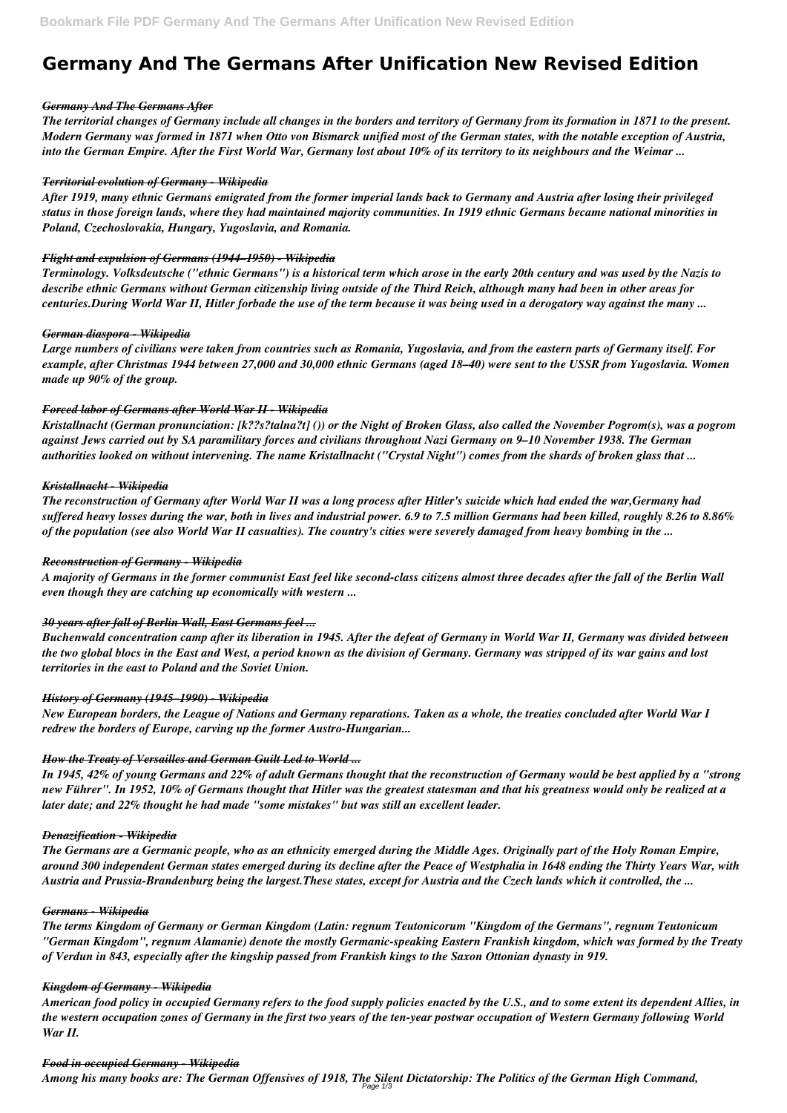# **Germany And The Germans After Unification New Revised Edition**

#### *Germany And The Germans After*

*The territorial changes of Germany include all changes in the borders and territory of Germany from its formation in 1871 to the present. Modern Germany was formed in 1871 when Otto von Bismarck unified most of the German states, with the notable exception of Austria, into the German Empire. After the First World War, Germany lost about 10% of its territory to its neighbours and the Weimar ...*

#### *Territorial evolution of Germany - Wikipedia*

*After 1919, many ethnic Germans emigrated from the former imperial lands back to Germany and Austria after losing their privileged status in those foreign lands, where they had maintained majority communities. In 1919 ethnic Germans became national minorities in Poland, Czechoslovakia, Hungary, Yugoslavia, and Romania.*

#### *Flight and expulsion of Germans (1944–1950) - Wikipedia*

*Terminology. Volksdeutsche ("ethnic Germans") is a historical term which arose in the early 20th century and was used by the Nazis to describe ethnic Germans without German citizenship living outside of the Third Reich, although many had been in other areas for centuries.During World War II, Hitler forbade the use of the term because it was being used in a derogatory way against the many ...*

#### *German diaspora - Wikipedia*

*Large numbers of civilians were taken from countries such as Romania, Yugoslavia, and from the eastern parts of Germany itself. For example, after Christmas 1944 between 27,000 and 30,000 ethnic Germans (aged 18–40) were sent to the USSR from Yugoslavia. Women made up 90% of the group.*

## *Forced labor of Germans after World War II - Wikipedia*

*Kristallnacht (German pronunciation: [k??s?talna?t] ()) or the Night of Broken Glass, also called the November Pogrom(s), was a pogrom against Jews carried out by SA paramilitary forces and civilians throughout Nazi Germany on 9–10 November 1938. The German authorities looked on without intervening. The name Kristallnacht ("Crystal Night") comes from the shards of broken glass that ...*

## *Kristallnacht - Wikipedia*

*The reconstruction of Germany after World War II was a long process after Hitler's suicide which had ended the war,Germany had suffered heavy losses during the war, both in lives and industrial power. 6.9 to 7.5 million Germans had been killed, roughly 8.26 to 8.86% of the population (see also World War II casualties). The country's cities were severely damaged from heavy bombing in the ...*

#### *Reconstruction of Germany - Wikipedia*

*A majority of Germans in the former communist East feel like second-class citizens almost three decades after the fall of the Berlin Wall even though they are catching up economically with western ...*

## *30 years after fall of Berlin Wall, East Germans feel ...*

*Buchenwald concentration camp after its liberation in 1945. After the defeat of Germany in World War II, Germany was divided between the two global blocs in the East and West, a period known as the division of Germany. Germany was stripped of its war gains and lost territories in the east to Poland and the Soviet Union.*

#### *History of Germany (1945–1990) - Wikipedia*

*New European borders, the League of Nations and Germany reparations. Taken as a whole, the treaties concluded after World War I redrew the borders of Europe, carving up the former Austro-Hungarian...*

## *How the Treaty of Versailles and German Guilt Led to World ...*

*In 1945, 42% of young Germans and 22% of adult Germans thought that the reconstruction of Germany would be best applied by a "strong new Führer". In 1952, 10% of Germans thought that Hitler was the greatest statesman and that his greatness would only be realized at a later date; and 22% thought he had made "some mistakes" but was still an excellent leader.*

## *Denazification - Wikipedia*

*The Germans are a Germanic people, who as an ethnicity emerged during the Middle Ages. Originally part of the Holy Roman Empire, around 300 independent German states emerged during its decline after the Peace of Westphalia in 1648 ending the Thirty Years War, with Austria and Prussia-Brandenburg being the largest.These states, except for Austria and the Czech lands which it controlled, the ...*

#### *Germans - Wikipedia*

*The terms Kingdom of Germany or German Kingdom (Latin: regnum Teutonicorum "Kingdom of the Germans", regnum Teutonicum "German Kingdom", regnum Alamanie) denote the mostly Germanic-speaking Eastern Frankish kingdom, which was formed by the Treaty of Verdun in 843, especially after the kingship passed from Frankish kings to the Saxon Ottonian dynasty in 919.*

#### *Kingdom of Germany - Wikipedia*

*American food policy in occupied Germany refers to the food supply policies enacted by the U.S., and to some extent its dependent Allies, in the western occupation zones of Germany in the first two years of the ten-year postwar occupation of Western Germany following World War II.*

#### *Food in occupied Germany - Wikipedia*

*Among his many books are: The German Offensives of 1918, The Silent Dictatorship: The Politics of the German High Command,* Page 1/3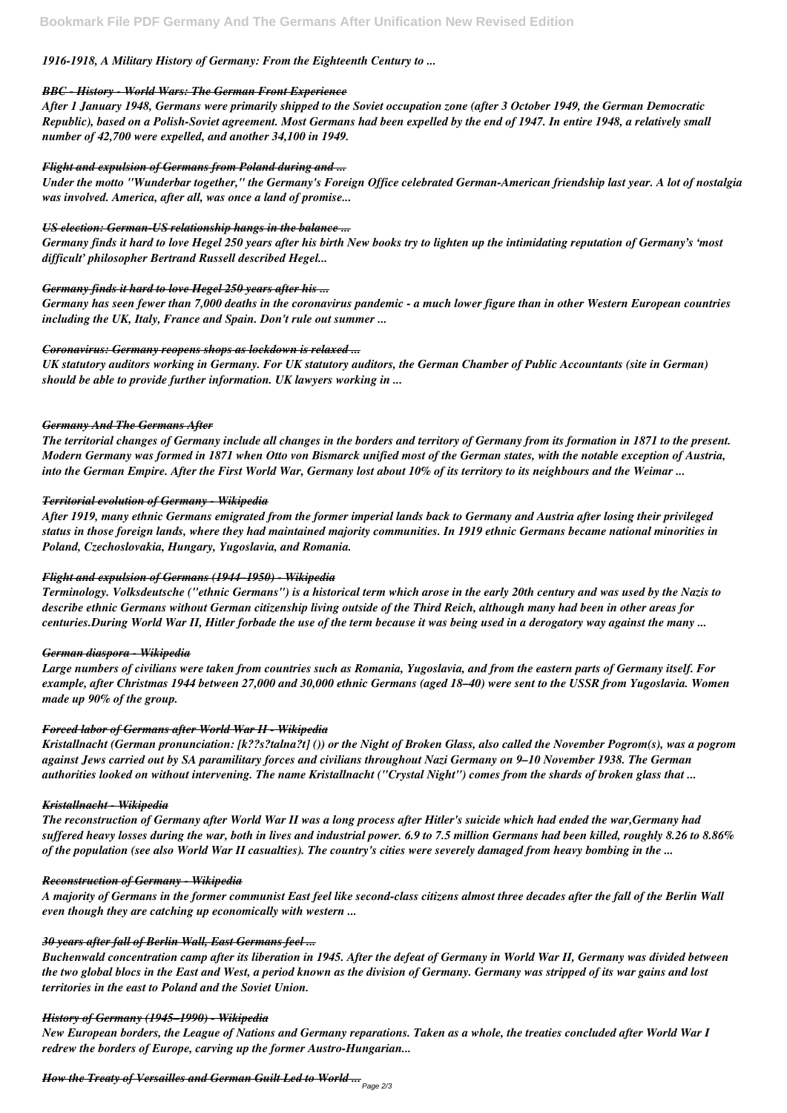# *1916-1918, A Military History of Germany: From the Eighteenth Century to ...*

## *BBC - History - World Wars: The German Front Experience*

*After 1 January 1948, Germans were primarily shipped to the Soviet occupation zone (after 3 October 1949, the German Democratic Republic), based on a Polish-Soviet agreement. Most Germans had been expelled by the end of 1947. In entire 1948, a relatively small number of 42,700 were expelled, and another 34,100 in 1949.*

#### *Flight and expulsion of Germans from Poland during and ...*

*Under the motto "Wunderbar together," the Germany's Foreign Office celebrated German-American friendship last year. A lot of nostalgia was involved. America, after all, was once a land of promise...*

## *US election: German-US relationship hangs in the balance ...*

*Germany finds it hard to love Hegel 250 years after his birth New books try to lighten up the intimidating reputation of Germany's 'most difficult' philosopher Bertrand Russell described Hegel...*

## *Germany finds it hard to love Hegel 250 years after his ...*

*Germany has seen fewer than 7,000 deaths in the coronavirus pandemic - a much lower figure than in other Western European countries including the UK, Italy, France and Spain. Don't rule out summer ...*

## *Coronavirus: Germany reopens shops as lockdown is relaxed ...*

*UK statutory auditors working in Germany. For UK statutory auditors, the German Chamber of Public Accountants (site in German) should be able to provide further information. UK lawyers working in ...*

#### *Germany And The Germans After*

*The territorial changes of Germany include all changes in the borders and territory of Germany from its formation in 1871 to the present. Modern Germany was formed in 1871 when Otto von Bismarck unified most of the German states, with the notable exception of Austria, into the German Empire. After the First World War, Germany lost about 10% of its territory to its neighbours and the Weimar ...*

## *Territorial evolution of Germany - Wikipedia*

*After 1919, many ethnic Germans emigrated from the former imperial lands back to Germany and Austria after losing their privileged status in those foreign lands, where they had maintained majority communities. In 1919 ethnic Germans became national minorities in Poland, Czechoslovakia, Hungary, Yugoslavia, and Romania.*

## *Flight and expulsion of Germans (1944–1950) - Wikipedia*

*Terminology. Volksdeutsche ("ethnic Germans") is a historical term which arose in the early 20th century and was used by the Nazis to describe ethnic Germans without German citizenship living outside of the Third Reich, although many had been in other areas for centuries.During World War II, Hitler forbade the use of the term because it was being used in a derogatory way against the many ...*

## *German diaspora - Wikipedia*

*Large numbers of civilians were taken from countries such as Romania, Yugoslavia, and from the eastern parts of Germany itself. For example, after Christmas 1944 between 27,000 and 30,000 ethnic Germans (aged 18–40) were sent to the USSR from Yugoslavia. Women made up 90% of the group.*

## *Forced labor of Germans after World War II - Wikipedia*

*Kristallnacht (German pronunciation: [k??s?talna?t] ()) or the Night of Broken Glass, also called the November Pogrom(s), was a pogrom against Jews carried out by SA paramilitary forces and civilians throughout Nazi Germany on 9–10 November 1938. The German authorities looked on without intervening. The name Kristallnacht ("Crystal Night") comes from the shards of broken glass that ...*

#### *Kristallnacht - Wikipedia*

*The reconstruction of Germany after World War II was a long process after Hitler's suicide which had ended the war,Germany had suffered heavy losses during the war, both in lives and industrial power. 6.9 to 7.5 million Germans had been killed, roughly 8.26 to 8.86% of the population (see also World War II casualties). The country's cities were severely damaged from heavy bombing in the ...*

#### *Reconstruction of Germany - Wikipedia*

*A majority of Germans in the former communist East feel like second-class citizens almost three decades after the fall of the Berlin Wall even though they are catching up economically with western ...*

#### *30 years after fall of Berlin Wall, East Germans feel ...*

*Buchenwald concentration camp after its liberation in 1945. After the defeat of Germany in World War II, Germany was divided between the two global blocs in the East and West, a period known as the division of Germany. Germany was stripped of its war gains and lost territories in the east to Poland and the Soviet Union.*

#### *History of Germany (1945–1990) - Wikipedia*

*New European borders, the League of Nations and Germany reparations. Taken as a whole, the treaties concluded after World War I redrew the borders of Europe, carving up the former Austro-Hungarian...*

*How the Treaty of Versailles and German Guilt Led to World ...* Page 2/3